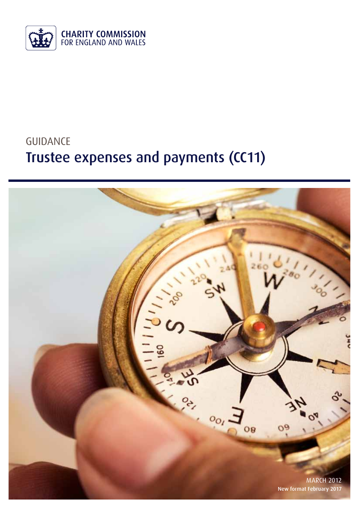

# GUIDANCE Trustee expenses and payments (CC11)

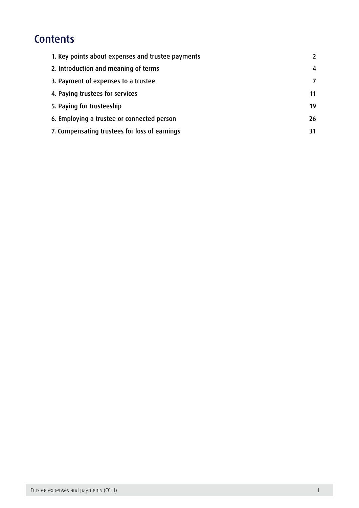# **Contents**

| 1. Key points about expenses and trustee payments | $\overline{\phantom{a}}$ |
|---------------------------------------------------|--------------------------|
| 2. Introduction and meaning of terms              | 4                        |
| 3. Payment of expenses to a trustee               | $\overline{7}$           |
| 4. Paying trustees for services                   | 11                       |
| 5. Paying for trusteeship                         | 19                       |
| 6. Employing a trustee or connected person        | 26                       |
| 7. Compensating trustees for loss of earnings     | 31                       |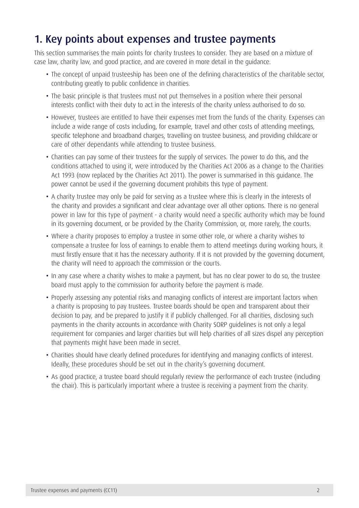# <span id="page-2-0"></span>1. Key points about expenses and trustee payments

This section summarises the main points for charity trustees to consider. They are based on a mixture of case law, charity law, and good practice, and are covered in more detail in the guidance.

- The concept of unpaid trusteeship has been one of the defining characteristics of the charitable sector, contributing greatly to public confidence in charities.
- The basic principle is that trustees must not put themselves in a position where their personal interests conflict with their duty to act in the interests of the charity unless authorised to do so.
- However, trustees are entitled to have their expenses met from the funds of the charity. Expenses can include a wide range of costs including, for example, travel and other costs of attending meetings, specific telephone and broadband charges, travelling on trustee business, and providing childcare or care of other dependants while attending to trustee business.
- • Charities can pay some of their trustees for the supply of services. The power to do this, and the conditions attached to using it, were introduced by the Charities Act 2006 as a change to the Charities Act 1993 (now replaced by the Charities Act 2011). The power is summarised in this guidance. The power cannot be used if the governing document prohibits this type of payment.
- A charity trustee may only be paid for serving as a trustee where this is clearly in the interests of the charity and provides a significant and clear advantage over all other options. There is no general power in law for this type of payment - a charity would need a specific authority which may be found in its governing document, or be provided by the Charity Commission, or, more rarely, the courts.
- Where a charity proposes to employ a trustee in some other role, or where a charity wishes to compensate a trustee for loss of earnings to enable them to attend meetings during working hours, it must firstly ensure that it has the necessary authority. If it is not provided by the governing document, the charity will need to approach the commission or the courts.
- In any case where a charity wishes to make a payment, but has no clear power to do so, the trustee board must apply to the commission for authority before the payment is made.
- Properly assessing any potential risks and managing conflicts of interest are important factors when a charity is proposing to pay trustees. Trustee boards should be open and transparent about their decision to pay, and be prepared to justify it if publicly challenged. For all charities, disclosing such payments in the charity accounts in accordance with Charity SORP guidelines is not only a legal requirement for companies and larger charities but will help charities of all sizes dispel any perception that payments might have been made in secret.
- Charities should have clearly defined procedures for identifying and managing conflicts of interest. Ideally, these procedures should be set out in the charity's governing document.
- As good practice, a trustee board should regularly review the performance of each trustee (including the chair). This is particularly important where a trustee is receiving a payment from the charity.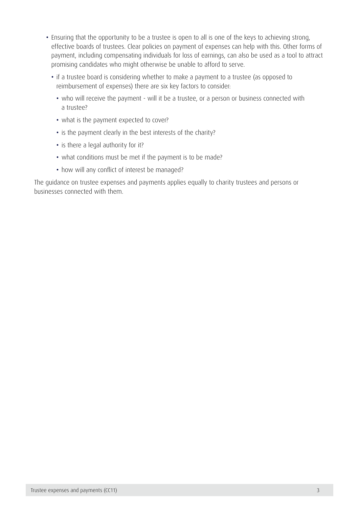- Ensuring that the opportunity to be a trustee is open to all is one of the keys to achieving strong, effective boards of trustees. Clear policies on payment of expenses can help with this. Other forms of payment, including compensating individuals for loss of earnings, can also be used as a tool to attract promising candidates who might otherwise be unable to afford to serve.
	- if a trustee board is considering whether to make a payment to a trustee (as opposed to reimbursement of expenses) there are six key factors to consider:
		- who will receive the payment will it be a trustee, or a person or business connected with a trustee?
		- what is the payment expected to cover?
		- is the payment clearly in the best interests of the charity?
		- is there a legal authority for it?
		- what conditions must be met if the payment is to be made?
		- how will any conflict of interest be managed?

The guidance on trustee expenses and payments applies equally to charity trustees and persons or businesses connected with them.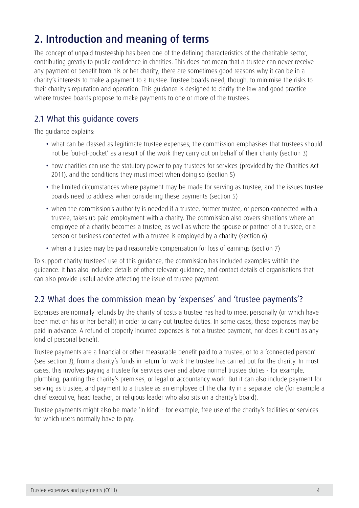# <span id="page-4-0"></span>2. Introduction and meaning of terms

The concept of unpaid trusteeship has been one of the defining characteristics of the charitable sector, contributing greatly to public confidence in charities. This does not mean that a trustee can never receive any payment or benefit from his or her charity; there are sometimes good reasons why it can be in a charity's interests to make a payment to a trustee. Trustee boards need, though, to minimise the risks to their charity's reputation and operation. This guidance is designed to clarify the law and good practice where trustee boards propose to make payments to one or more of the trustees.

# 2.1 What this guidance covers

The guidance explains:

- what can be classed as legitimate trustee expenses; the commission emphasises that trustees should not be 'out-of-pocket' as a result of the work they carry out on behalf of their charity (section 3)
- how charities can use the statutory power to pay trustees for services (provided by the Charities Act 2011), and the conditions they must meet when doing so (section 5)
- the limited circumstances where payment may be made for serving as trustee, and the issues trustee boards need to address when considering these payments (section 5)
- when the commission's authority is needed if a trustee, former trustee, or person connected with a trustee, takes up paid employment with a charity. The commission also covers situations where an employee of a charity becomes a trustee, as well as where the spouse or partner of a trustee, or a person or business connected with a trustee is employed by a charity (section 6)
- when a trustee may be paid reasonable compensation for loss of earnings (section 7)

To support charity trustees' use of this guidance, the commission has included examples within the guidance. It has also included details of other relevant guidance, and contact details of organisations that can also provide useful advice affecting the issue of trustee payment.

# 2.2 What does the commission mean by 'expenses' and 'trustee payments'?

Expenses are normally refunds by the charity of costs a trustee has had to meet personally (or which have been met on his or her behalf) in order to carry out trustee duties. In some cases, these expenses may be paid in advance. A refund of properly incurred expenses is not a trustee payment, nor does it count as any kind of personal benefit.

Trustee payments are a financial or other measurable benefit paid to a trustee, or to a 'connected person' (see section 3), from a charity's funds in return for work the trustee has carried out for the charity. In most cases, this involves paying a trustee for services over and above normal trustee duties - for example, plumbing, painting the charity's premises, or legal or accountancy work. But it can also include payment for serving as trustee, and payment to a trustee as an employee of the charity in a separate role (for example a chief executive, head teacher, or religious leader who also sits on a charity's board).

Trustee payments might also be made 'in kind' - for example, free use of the charity's facilities or services for which users normally have to pay.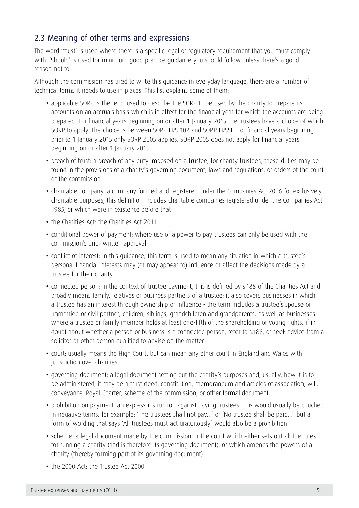## 2.3 Meaning of other terms and expressions

The word 'must' is used where there is a specific legal or regulatory requirement that you must comply with. 'Should' is used for minimum good practice guidance you should follow unless there's a good reason not to.

Although the commission has tried to write this guidance in everyday language, there are a number of technical terms it needs to use in places. This list explains some of them:

- applicable SORP is the term used to describe the SORP to be used by the charity to prepare its accounts on an accruals basis which is in effect for the financial year for which the accounts are being prepared. For financial years beginning on or after 1 January 2015 the trustees have a choice of which SORP to apply. The choice is between SORP FRS 102 and SORP FRSSE. For financial years beginning prior to 1 January 2015 only SORP 2005 applies. SORP 2005 does not apply for financial years beginning on or after 1 January 2015
- breach of trust: a breach of any duty imposed on a trustee; for charity trustees, these duties may be found in the provisions of a charity's governing document, laws and regulations, or orders of the court or the commission
- charitable company: a company formed and registered under the Companies Act 2006 for exclusively charitable purposes; this definition includes charitable companies registered under the Companies Act 1985, or which were in existence before that
- the Charities Act: the Charities Act 2011
- conditional power of payment: where use of a power to pay trustees can only be used with the commission's prior written approval
- conflict of interest: in this quidance, this term is used to mean any situation in which a trustee's personal financial interests may (or may appear to) influence or affect the decisions made by a trustee for their charity.
- connected person: in the context of trustee payment, this is defined by s.188 of the Charities Act and broadly means family, relatives or business partners of a trustee; it also covers businesses in which a trustee has an interest through ownership or influence - the term includes a trustee's spouse or unmarried or civil partner, children, siblings, grandchildren and grandparents, as well as businesses where a trustee or family member holds at least one-fifth of the shareholding or voting rights, if in doubt about whether a person or business is a connected person, refer to s.188, or seek advice from a solicitor or other person qualified to advise on the matter
- • court: usually means the High Court, but can mean any other court in England and Wales with jurisdiction over charities
- governing document: a legal document setting out the charity's purposes and, usually, how it is to be administered; it may be a trust deed, constitution, memorandum and articles of association, will, conveyance, Royal Charter, scheme of the commission, or other formal document
- prohibition on payment: an express instruction against paying trustees. This would usually be couched in negative terms, for example: 'The trustees shall not pay…' or 'No trustee shall be paid…'. but a form of wording that says 'All trustees must act gratuitously' would also be a prohibition
- scheme: a legal document made by the commission or the court which either sets out all the rules for running a charity (and is therefore its governing document), or which amends the powers of a charity (thereby forming part of its governing document)
- the 2000 Act: the Trustee Act 2000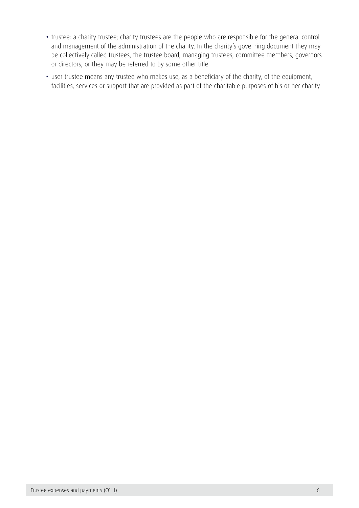- trustee: a charity trustee; charity trustees are the people who are responsible for the general control and management of the administration of the charity. In the charity's governing document they may be collectively called trustees, the trustee board, managing trustees, committee members, governors or directors, or they may be referred to by some other title
- user trustee means any trustee who makes use, as a beneficiary of the charity, of the equipment, facilities, services or support that are provided as part of the charitable purposes of his or her charity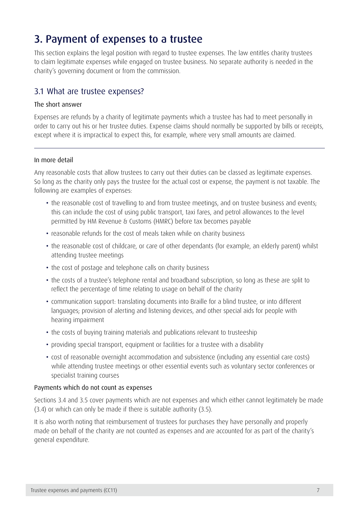# <span id="page-7-0"></span>3. Payment of expenses to a trustee

This section explains the legal position with regard to trustee expenses. The law entitles charity trustees to claim legitimate expenses while engaged on trustee business. No separate authority is needed in the charity's governing document or from the commission.

### 3.1 What are trustee expenses?

#### The short answer

Expenses are refunds by a charity of legitimate payments which a trustee has had to meet personally in order to carry out his or her trustee duties. Expense claims should normally be supported by bills or receipts, except where it is impractical to expect this, for example, where very small amounts are claimed.

#### In more detail

Any reasonable costs that allow trustees to carry out their duties can be classed as legitimate expenses. So long as the charity only pays the trustee for the actual cost or expense, the payment is not taxable. The following are examples of expenses:

- the reasonable cost of travelling to and from trustee meetings, and on trustee business and events; this can include the cost of using public transport, taxi fares, and petrol allowances to the level permitted by HM Revenue & Customs (HMRC) before tax becomes payable
- reasonable refunds for the cost of meals taken while on charity business
- the reasonable cost of childcare, or care of other dependants (for example, an elderly parent) whilst attending trustee meetings
- the cost of postage and telephone calls on charity business
- the costs of a trustee's telephone rental and broadband subscription, so long as these are split to reflect the percentage of time relating to usage on behalf of the charity
- • communication support: translating documents into Braille for a blind trustee, or into different languages; provision of alerting and listening devices, and other special aids for people with hearing impairment
- the costs of buying training materials and publications relevant to trusteeship
- providing special transport, equipment or facilities for a trustee with a disability
- • cost of reasonable overnight accommodation and subsistence (including any essential care costs) while attending trustee meetings or other essential events such as voluntary sector conferences or specialist training courses

#### Payments which do not count as expenses

Sections 3.4 and 3.5 cover payments which are not expenses and which either cannot legitimately be made (3.4) or which can only be made if there is suitable authority (3.5).

It is also worth noting that reimbursement of trustees for purchases they have personally and properly made on behalf of the charity are not counted as expenses and are accounted for as part of the charity's general expenditure.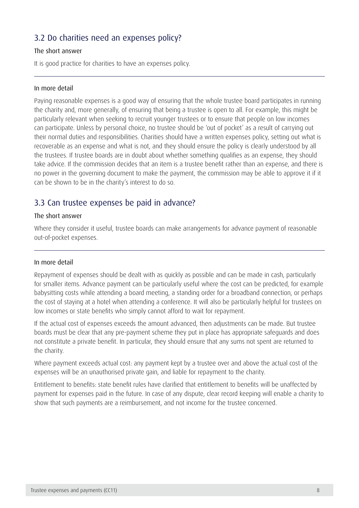## 3.2 Do charities need an expenses policy?

#### The short answer

It is good practice for charities to have an expenses policy.

#### In more detail

Paying reasonable expenses is a good way of ensuring that the whole trustee board participates in running the charity and, more generally, of ensuring that being a trustee is open to all. For example, this might be particularly relevant when seeking to recruit younger trustees or to ensure that people on low incomes can participate. Unless by personal choice, no trustee should be 'out of pocket' as a result of carrying out their normal duties and responsibilities. Charities should have a written expenses policy, setting out what is recoverable as an expense and what is not, and they should ensure the policy is clearly understood by all the trustees. If trustee boards are in doubt about whether something qualifies as an expense, they should take advice. If the commission decides that an item is a trustee benefit rather than an expense, and there is no power in the governing document to make the payment, the commission may be able to approve it if it can be shown to be in the charity's interest to do so.

### 3.3 Can trustee expenses be paid in advance?

#### The short answer

Where they consider it useful, trustee boards can make arrangements for advance payment of reasonable out-of-pocket expenses.

#### In more detail

Repayment of expenses should be dealt with as quickly as possible and can be made in cash, particularly for smaller items. Advance payment can be particularly useful where the cost can be predicted, for example babysitting costs while attending a board meeting, a standing order for a broadband connection, or perhaps the cost of staying at a hotel when attending a conference. It will also be particularly helpful for trustees on low incomes or state benefits who simply cannot afford to wait for repayment.

If the actual cost of expenses exceeds the amount advanced, then adjustments can be made. But trustee boards must be clear that any pre-payment scheme they put in place has appropriate safeguards and does not constitute a private benefit. In particular, they should ensure that any sums not spent are returned to the charity.

Where payment exceeds actual cost: any payment kept by a trustee over and above the actual cost of the expenses will be an unauthorised private gain, and liable for repayment to the charity.

Entitlement to benefits: state benefit rules have clarified that entitlement to benefits will be unaffected by payment for expenses paid in the future. In case of any dispute, clear record keeping will enable a charity to show that such payments are a reimbursement, and not income for the trustee concerned.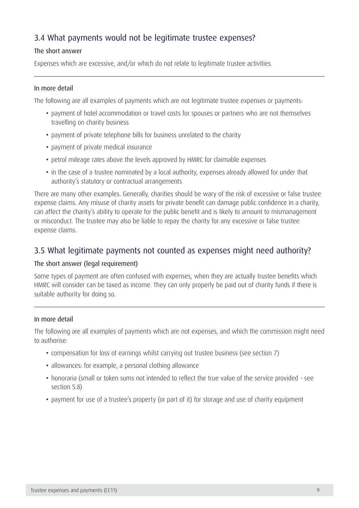# 3.4 What payments would not be legitimate trustee expenses?

#### The short answer

Expenses which are excessive, and/or which do not relate to legitimate trustee activities.

#### In more detail

The following are all examples of payments which are not legitimate trustee expenses or payments:

- payment of hotel accommodation or travel costs for spouses or partners who are not themselves travelling on charity business
- payment of private telephone bills for business unrelated to the charity
- payment of private medical insurance
- petrol mileage rates above the levels approved by HMRC for claimable expenses
- in the case of a trustee nominated by a local authority, expenses already allowed for under that authority's statutory or contractual arrangements

There are many other examples. Generally, charities should be wary of the risk of excessive or false trustee expense claims. Any misuse of charity assets for private benefit can damage public confidence in a charity, can affect the charity's ability to operate for the public benefit and is likely to amount to mismanagement or misconduct. The trustee may also be liable to repay the charity for any excessive or false trustee expense claims.

### 3.5 What legitimate payments not counted as expenses might need authority?

#### The short answer (legal requirement)

Some types of payment are often confused with expenses, when they are actually trustee benefits which HMRC will consider can be taxed as income. They can only properly be paid out of charity funds if there is suitable authority for doing so.

#### In more detail

The following are all examples of payments which are not expenses, and which the commission might need to authorise:

- • compensation for loss of earnings whilst carrying out trustee business (see section 7)
- allowances: for example, a personal clothing allowance
- honoraria (small or token sums not intended to reflect the true value of the service provided see section 5.8)
- payment for use of a trustee's property (or part of it) for storage and use of charity equipment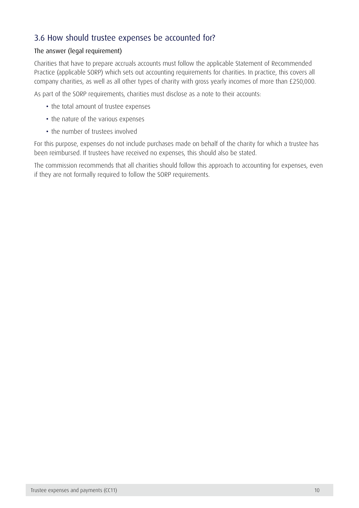## 3.6 How should trustee expenses be accounted for?

#### The answer (legal requirement)

Charities that have to prepare accruals accounts must follow the applicable Statement of Recommended Practice (applicable SORP) which sets out accounting requirements for charities. In practice, this covers all company charities, as well as all other types of charity with gross yearly incomes of more than £250,000.

As part of the SORP requirements, charities must disclose as a note to their accounts:

- the total amount of trustee expenses
- the nature of the various expenses
- the number of trustees involved

For this purpose, expenses do not include purchases made on behalf of the charity for which a trustee has been reimbursed. If trustees have received no expenses, this should also be stated.

The commission recommends that all charities should follow this approach to accounting for expenses, even if they are not formally required to follow the SORP requirements.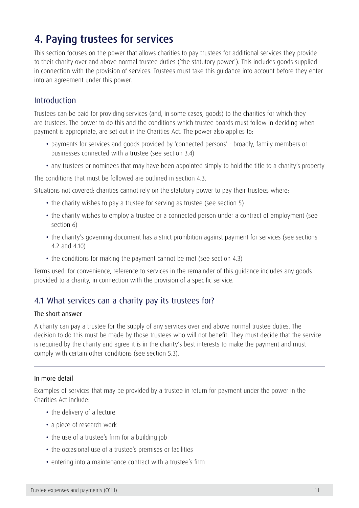# <span id="page-11-0"></span>4. Paying trustees for services

This section focuses on the power that allows charities to pay trustees for additional services they provide to their charity over and above normal trustee duties ('the statutory power'). This includes goods supplied in connection with the provision of services. Trustees must take this guidance into account before they enter into an agreement under this power.

### Introduction

Trustees can be paid for providing services (and, in some cases, goods) to the charities for which they are trustees. The power to do this and the conditions which trustee boards must follow in deciding when payment is appropriate, are set out in the Charities Act. The power also applies to:

- payments for services and goods provided by 'connected persons' broadly, family members or businesses connected with a trustee (see section 3.4)
- any trustees or nominees that may have been appointed simply to hold the title to a charity's property

The conditions that must be followed are outlined in section 4.3.

Situations not covered: charities cannot rely on the statutory power to pay their trustees where:

- the charity wishes to pay a trustee for serving as trustee (see section 5)
- the charity wishes to employ a trustee or a connected person under a contract of employment (see section 6)
- the charity's governing document has a strict prohibition against payment for services (see sections 4.2 and 4.10)
- the conditions for making the payment cannot be met (see section 4.3)

Terms used: for convenience, reference to services in the remainder of this guidance includes any goods provided to a charity, in connection with the provision of a specific service.

### 4.1 What services can a charity pay its trustees for?

#### The short answer

A charity can pay a trustee for the supply of any services over and above normal trustee duties. The decision to do this must be made by those trustees who will not benefit. They must decide that the service is required by the charity and agree it is in the charity's best interests to make the payment and must comply with certain other conditions (see section 5.3).

#### In more detail

Examples of services that may be provided by a trustee in return for payment under the power in the Charities Act include:

- the delivery of a lecture
- a piece of research work
- the use of a trustee's firm for a building job
- the occasional use of a trustee's premises or facilities
- entering into a maintenance contract with a trustee's firm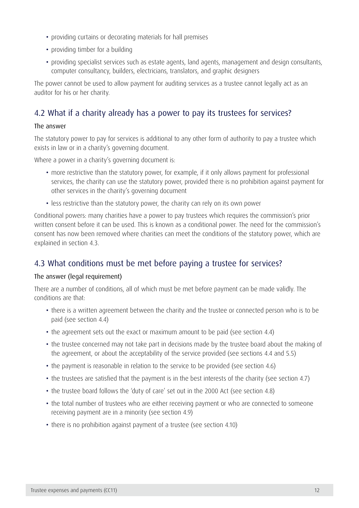- providing curtains or decorating materials for hall premises
- providing timber for a building
- providing specialist services such as estate agents, land agents, management and design consultants, computer consultancy, builders, electricians, translators, and graphic designers

The power cannot be used to allow payment for auditing services as a trustee cannot legally act as an auditor for his or her charity.

### 4.2 What if a charity already has a power to pay its trustees for services?

#### The answer

The statutory power to pay for services is additional to any other form of authority to pay a trustee which exists in law or in a charity's governing document.

Where a power in a charity's governing document is:

- more restrictive than the statutory power, for example, if it only allows payment for professional services, the charity can use the statutory power, provided there is no prohibition against payment for other services in the charity's governing document
- less restrictive than the statutory power, the charity can rely on its own power

Conditional powers: many charities have a power to pay trustees which requires the commission's prior written consent before it can be used. This is known as a conditional power. The need for the commission's consent has now been removed where charities can meet the conditions of the statutory power, which are explained in section 4.3.

### 4.3 What conditions must be met before paying a trustee for services?

#### The answer (legal requirement)

There are a number of conditions, all of which must be met before payment can be made validly. The conditions are that:

- there is a written agreement between the charity and the trustee or connected person who is to be paid (see section 4.4)
- the agreement sets out the exact or maximum amount to be paid (see section 4.4)
- the trustee concerned may not take part in decisions made by the trustee board about the making of the agreement, or about the acceptability of the service provided (see sections 4.4 and 5.5)
- the payment is reasonable in relation to the service to be provided (see section 4.6)
- the trustees are satisfied that the payment is in the best interests of the charity (see section 4.7)
- the trustee board follows the 'duty of care' set out in the 2000 Act (see section 4.8)
- the total number of trustees who are either receiving payment or who are connected to someone receiving payment are in a minority (see section 4.9)
- there is no prohibition against payment of a trustee (see section 4.10)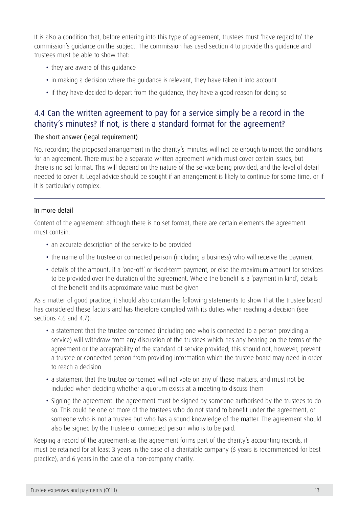It is also a condition that, before entering into this type of agreement, trustees must 'have regard to' the commission's guidance on the subject. The commission has used section 4 to provide this guidance and trustees must be able to show that:

- they are aware of this quidance
- in making a decision where the quidance is relevant, they have taken it into account
- if they have decided to depart from the quidance, they have a good reason for doing so

### 4.4 Can the written agreement to pay for a service simply be a record in the charity's minutes? If not, is there a standard format for the agreement?

#### The short answer (legal requirement)

No, recording the proposed arrangement in the charity's minutes will not be enough to meet the conditions for an agreement. There must be a separate written agreement which must cover certain issues, but there is no set format. This will depend on the nature of the service being provided, and the level of detail needed to cover it. Legal advice should be sought if an arrangement is likely to continue for some time, or if it is particularly complex.

#### In more detail

Content of the agreement: although there is no set format, there are certain elements the agreement must contain:

- an accurate description of the service to be provided
- the name of the trustee or connected person (including a business) who will receive the payment
- • details of the amount, if a 'one-off' or fixed-term payment, or else the maximum amount for services to be provided over the duration of the agreement. Where the benefit is a 'payment in kind', details of the benefit and its approximate value must be given

As a matter of good practice, it should also contain the following statements to show that the trustee board has considered these factors and has therefore complied with its duties when reaching a decision (see sections 4.6 and 4.7):

- a statement that the trustee concerned (including one who is connected to a person providing a service) will withdraw from any discussion of the trustees which has any bearing on the terms of the agreement or the acceptability of the standard of service provided; this should not, however, prevent a trustee or connected person from providing information which the trustee board may need in order to reach a decision
- a statement that the trustee concerned will not vote on any of these matters, and must not be included when deciding whether a quorum exists at a meeting to discuss them
- • Signing the agreement: the agreement must be signed by someone authorised by the trustees to do so. This could be one or more of the trustees who do not stand to benefit under the agreement, or someone who is not a trustee but who has a sound knowledge of the matter. The agreement should also be signed by the trustee or connected person who is to be paid.

Keeping a record of the agreement: as the agreement forms part of the charity's accounting records, it must be retained for at least 3 years in the case of a charitable company (6 years is recommended for best practice), and 6 years in the case of a non-company charity.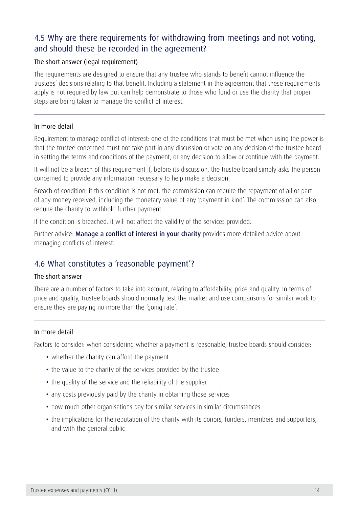# 4.5 Why are there requirements for withdrawing from meetings and not voting, and should these be recorded in the agreement?

#### The short answer (legal requirement)

The requirements are designed to ensure that any trustee who stands to benefit cannot influence the trustees' decisions relating to that benefit. Including a statement in the agreement that these requirements apply is not required by law but can help demonstrate to those who fund or use the charity that proper steps are being taken to manage the conflict of interest.

#### In more detail

Requirement to manage conflict of interest: one of the conditions that must be met when using the power is that the trustee concerned must not take part in any discussion or vote on any decision of the trustee board in setting the terms and conditions of the payment, or any decision to allow or continue with the payment.

It will not be a breach of this requirement if, before its discussion, the trustee board simply asks the person concerned to provide any information necessary to help make a decision.

Breach of condition: if this condition is not met, the commission can require the repayment of all or part of any money received, including the monetary value of any 'payment in kind'. The commisssion can also require the charity to withhold further payment.

If the condition is breached, it will not affect the validity of the services provided.

Further advice: [Manage a conflict of interest in your charity](https://www.gov.uk/manage-a-conflict-of-interest-in-your-charity) provides more detailed advice about managing conflicts of interest.

### 4.6 What constitutes a 'reasonable payment'?

#### The short answer

There are a number of factors to take into account, relating to affordability, price and quality. In terms of price and quality, trustee boards should normally test the market and use comparisons for similar work to ensure they are paying no more than the 'going rate'.

#### In more detail

Factors to consider: when considering whether a payment is reasonable, trustee boards should consider:

- whether the charity can afford the payment
- the value to the charity of the services provided by the trustee
- the quality of the service and the reliability of the supplier
- any costs previously paid by the charity in obtaining those services
- how much other organisations pay for similar services in similar circumstances
- the implications for the reputation of the charity with its donors, funders, members and supporters, and with the general public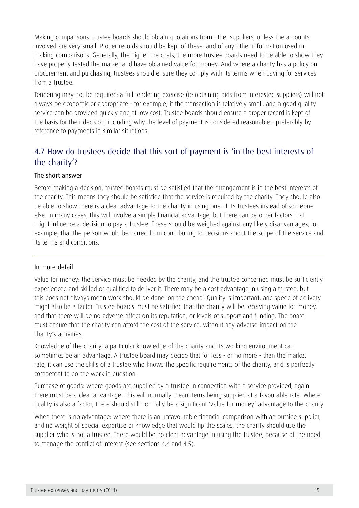Making comparisons: trustee boards should obtain quotations from other suppliers, unless the amounts involved are very small. Proper records should be kept of these, and of any other information used in making comparisons. Generally, the higher the costs, the more trustee boards need to be able to show they have properly tested the market and have obtained value for money. And where a charity has a policy on procurement and purchasing, trustees should ensure they comply with its terms when paying for services from a trustee.

Tendering may not be required: a full tendering exercise (ie obtaining bids from interested suppliers) will not always be economic or appropriate - for example, if the transaction is relatively small, and a good quality service can be provided quickly and at low cost. Trustee boards should ensure a proper record is kept of the basis for their decision, including why the level of payment is considered reasonable - preferably by reference to payments in similar situations.

# 4.7 How do trustees decide that this sort of payment is 'in the best interests of the charity'?

#### The short answer

Before making a decision, trustee boards must be satisfied that the arrangement is in the best interests of the charity. This means they should be satisfied that the service is required by the charity. They should also be able to show there is a clear advantage to the charity in using one of its trustees instead of someone else. In many cases, this will involve a simple financial advantage, but there can be other factors that might influence a decision to pay a trustee. These should be weighed against any likely disadvantages; for example, that the person would be barred from contributing to decisions about the scope of the service and its terms and conditions.

#### In more detail

Value for money: the service must be needed by the charity, and the trustee concerned must be sufficiently experienced and skilled or qualified to deliver it. There may be a cost advantage in using a trustee, but this does not always mean work should be done 'on the cheap'. Quality is important, and speed of delivery might also be a factor. Trustee boards must be satisfied that the charity will be receiving value for money, and that there will be no adverse affect on its reputation, or levels of support and funding. The board must ensure that the charity can afford the cost of the service, without any adverse impact on the charity's activities.

Knowledge of the charity: a particular knowledge of the charity and its working environment can sometimes be an advantage. A trustee board may decide that for less - or no more - than the market rate, it can use the skills of a trustee who knows the specific requirements of the charity, and is perfectly competent to do the work in question.

Purchase of goods: where goods are supplied by a trustee in connection with a service provided, again there must be a clear advantage. This will normally mean items being supplied at a favourable rate. Where quality is also a factor, there should still normally be a significant 'value for money' advantage to the charity.

When there is no advantage: where there is an unfavourable financial comparison with an outside supplier, and no weight of special expertise or knowledge that would tip the scales, the charity should use the supplier who is not a trustee. There would be no clear advantage in using the trustee, because of the need to manage the conflict of interest (see sections 4.4 and 4.5).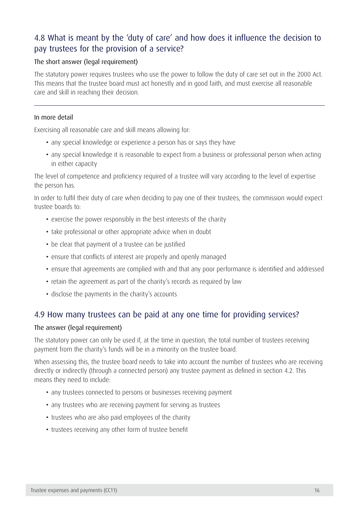# 4.8 What is meant by the 'duty of care' and how does it influence the decision to pay trustees for the provision of a service?

#### The short answer (legal requirement)

The statutory power requires trustees who use the power to follow the duty of care set out in the 2000 Act. This means that the trustee board must act honestly and in good faith, and must exercise all reasonable care and skill in reaching their decision.

#### In more detail

Exercising all reasonable care and skill means allowing for:

- any special knowledge or experience a person has or says they have
- any special knowledge it is reasonable to expect from a business or professional person when acting in either capacity

The level of competence and proficiency required of a trustee will vary according to the level of expertise the person has.

In order to fulfil their duty of care when deciding to pay one of their trustees, the commission would expect trustee boards to:

- exercise the power responsibly in the best interests of the charity
- take professional or other appropriate advice when in doubt
- be clear that payment of a trustee can be justified
- ensure that conflicts of interest are properly and openly managed
- ensure that agreements are complied with and that any poor performance is identified and addressed
- retain the agreement as part of the charity's records as required by law
- disclose the payments in the charity's accounts

### 4.9 How many trustees can be paid at any one time for providing services?

#### The answer (legal requirement)

The statutory power can only be used if, at the time in question, the total number of trustees receiving payment from the charity's funds will be in a minority on the trustee board.

When assessing this, the trustee board needs to take into account the number of trustees who are receiving directly or indirectly (through a connected person) any trustee payment as defined in section 4.2. This means they need to include:

- any trustees connected to persons or businesses receiving payment
- any trustees who are receiving payment for serving as trustees
- trustees who are also paid employees of the charity
- trustees receiving any other form of trustee benefit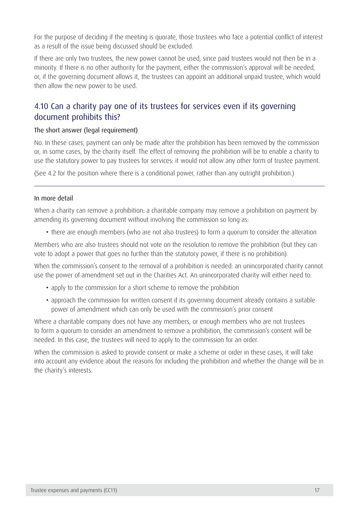For the purpose of deciding if the meeting is quorate, those trustees who face a potential conflict of interest as a result of the issue being discussed should be excluded.

If there are only two trustees, the new power cannot be used, since paid trustees would not then be in a minority. If there is no other authority for the payment, either the commission's approval will be needed, or, if the governing document allows it, the trustees can appoint an additional unpaid trustee, which would then allow the new power to be used.

## 4.10 Can a charity pay one of its trustees for services even if its governing document prohibits this?

#### The short answer (legal requirement)

No. In these cases, payment can only be made after the prohibition has been removed by the commission or, in some cases, by the charity itself. The effect of removing the prohibition will be to enable a charity to use the statutory power to pay trustees for services: it would not allow any other form of trustee payment.

(See 4.2 for the position where there is a conditional power, rather than any outright prohibition.)

#### In more detail

When a charity can remove a prohibition: a charitable company may remove a prohibition on payment by amending its governing document without involving the commission so long as:

• there are enough members (who are not also trustees) to form a quorum to consider the alteration

Members who are also trustees should not vote on the resolution to remove the prohibition (but they can vote to adopt a power that goes no further than the statutory power, if there is no prohibition).

When the commission's consent to the removal of a prohibition is needed: an unincorporated charity cannot use the power of amendment set out in the Charities Act. An unincorporated charity will either need to:

- apply to the commission for a short scheme to remove the prohibition
- approach the commission for written consent if its governing document already contains a suitable power of amendment which can only be used with the commission's prior consent

Where a charitable company does not have any members, or enough members who are not trustees to form a quorum to consider an amendment to remove a prohibition, the commission's consent will be needed. In this case, the trustees will need to apply to the commission for an order.

When the commission is asked to provide consent or make a scheme or order in these cases, it will take into account any evidence about the reasons for including the prohibition and whether the change will be in the charity's interests.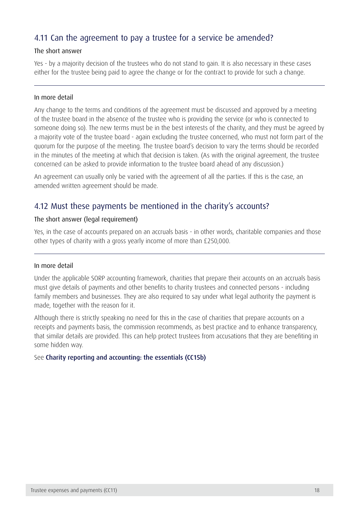## 4.11 Can the agreement to pay a trustee for a service be amended?

#### The short answer

Yes - by a majority decision of the trustees who do not stand to gain. It is also necessary in these cases either for the trustee being paid to agree the change or for the contract to provide for such a change.

#### In more detail

Any change to the terms and conditions of the agreement must be discussed and approved by a meeting of the trustee board in the absence of the trustee who is providing the service (or who is connected to someone doing so). The new terms must be in the best interests of the charity, and they must be agreed by a majority vote of the trustee board - again excluding the trustee concerned, who must not form part of the quorum for the purpose of the meeting. The trustee board's decision to vary the terms should be recorded in the minutes of the meeting at which that decision is taken. (As with the original agreement, the trustee concerned can be asked to provide information to the trustee board ahead of any discussion.)

An agreement can usually only be varied with the agreement of all the parties. If this is the case, an amended written agreement should be made.

### 4.12 Must these payments be mentioned in the charity's accounts?

#### The short answer (legal requirement)

Yes, in the case of accounts prepared on an accruals basis - in other words, charitable companies and those other types of charity with a gross yearly income of more than £250,000.

#### In more detail

Under the applicable SORP accounting framework, charities that prepare their accounts on an accruals basis must give details of payments and other benefits to charity trustees and connected persons - including family members and businesses. They are also required to say under what legal authority the payment is made, together with the reason for it.

Although there is strictly speaking no need for this in the case of charities that prepare accounts on a receipts and payments basis, the commission recommends, as best practice and to enhance transparency, that similar details are provided. This can help protect trustees from accusations that they are benefiting in some hidden way.

#### See [Charity reporting and accounting: the essentials \(CC15b\)](https://www.gov.uk/government/publications/charity-reporting-and-accounting-the-essentials-cc15b)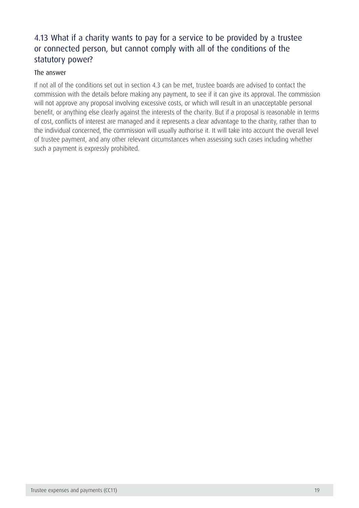# <span id="page-19-0"></span>4.13 What if a charity wants to pay for a service to be provided by a trustee or connected person, but cannot comply with all of the conditions of the statutory power?

#### The answer

If not all of the conditions set out in section 4.3 can be met, trustee boards are advised to contact the commission with the details before making any payment, to see if it can give its approval. The commission will not approve any proposal involving excessive costs, or which will result in an unacceptable personal benefit, or anything else clearly against the interests of the charity. But if a proposal is reasonable in terms of cost, conflicts of interest are managed and it represents a clear advantage to the charity, rather than to the individual concerned, the commission will usually authorise it. It will take into account the overall level of trustee payment, and any other relevant circumstances when assessing such cases including whether such a payment is expressly prohibited.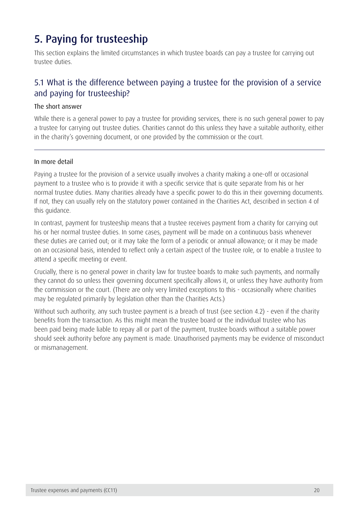# 5. Paying for trusteeship

This section explains the limited circumstances in which trustee boards can pay a trustee for carrying out trustee duties.

## 5.1 What is the difference between paying a trustee for the provision of a service and paying for trusteeship?

#### The short answer

While there is a general power to pay a trustee for providing services, there is no such general power to pay a trustee for carrying out trustee duties. Charities cannot do this unless they have a suitable authority, either in the charity's governing document, or one provided by the commission or the court.

#### In more detail

Paying a trustee for the provision of a service usually involves a charity making a one-off or occasional payment to a trustee who is to provide it with a specific service that is quite separate from his or her normal trustee duties. Many charities already have a specific power to do this in their governing documents. If not, they can usually rely on the statutory power contained in the Charities Act, described in section 4 of this guidance.

In contrast, payment for trusteeship means that a trustee receives payment from a charity for carrying out his or her normal trustee duties. In some cases, payment will be made on a continuous basis whenever these duties are carried out; or it may take the form of a periodic or annual allowance; or it may be made on an occasional basis, intended to reflect only a certain aspect of the trustee role, or to enable a trustee to attend a specific meeting or event.

Crucially, there is no general power in charity law for trustee boards to make such payments, and normally they cannot do so unless their governing document specifically allows it, or unless they have authority from the commission or the court. (There are only very limited exceptions to this - occasionally where charities may be regulated primarily by legislation other than the Charities Acts.)

Without such authority, any such trustee payment is a breach of trust (see section 4.2) - even if the charity benefits from the transaction. As this might mean the trustee board or the individual trustee who has been paid being made liable to repay all or part of the payment, trustee boards without a suitable power should seek authority before any payment is made. Unauthorised payments may be evidence of misconduct or mismanagement.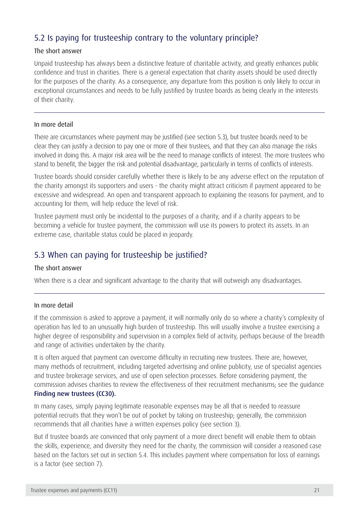# 5.2 Is paying for trusteeship contrary to the voluntary principle?

#### The short answer

Unpaid trusteeship has always been a distinctive feature of charitable activity, and greatly enhances public confidence and trust in charities. There is a general expectation that charity assets should be used directly for the purposes of the charity. As a consequence, any departure from this position is only likely to occur in exceptional circumstances and needs to be fully justified by trustee boards as being clearly in the interests of their charity.

#### In more detail

There are circumstances where payment may be justified (see section 5.3), but trustee boards need to be clear they can justify a decision to pay one or more of their trustees, and that they can also manage the risks involved in doing this. A major risk area will be the need to manage conflicts of interest. The more trustees who stand to benefit, the bigger the risk and potential disadvantage, particularly in terms of conflicts of interests.

Trustee boards should consider carefully whether there is likely to be any adverse effect on the reputation of the charity amongst its supporters and users - the charity might attract criticism if payment appeared to be excessive and widespread. An open and transparent approach to explaining the reasons for payment, and to accounting for them, will help reduce the level of risk.

Trustee payment must only be incidental to the purposes of a charity, and if a charity appears to be becoming a vehicle for trustee payment, the commission will use its powers to protect its assets. In an extreme case, charitable status could be placed in jeopardy.

### 5.3 When can paying for trusteeship be justified?

#### The short answer

When there is a clear and significant advantage to the charity that will outweigh any disadvantages.

#### In more detail

If the commission is asked to approve a payment, it will normally only do so where a charity's complexity of operation has led to an unusually high burden of trusteeship. This will usually involve a trustee exercising a higher degree of responsibility and supervision in a complex field of activity, perhaps because of the breadth and range of activities undertaken by the charity.

It is often argued that payment can overcome difficulty in recruiting new trustees. There are, however, many methods of recruitment, including targeted advertising and online publicity, use of specialist agencies and trustee brokerage services, and use of open selection processes. Before considering payment, the commission advises charities to review the effectiveness of their recruitment mechanisms; see the guidance [Finding new trustees \(CC30\)](https://www.gov.uk/government/publications/finding-new-trustees-cc30).

In many cases, simply paying legitimate reasonable expenses may be all that is needed to reassure potential recruits that they won't be out of pocket by taking on trusteeship; generally, the commission recommends that all charities have a written expenses policy (see section 3).

But if trustee boards are convinced that only payment of a more direct benefit will enable them to obtain the skills, experience, and diversity they need for the charity, the commission will consider a reasoned case based on the factors set out in section 5.4. This includes payment where compensation for loss of earnings is a factor (see section 7).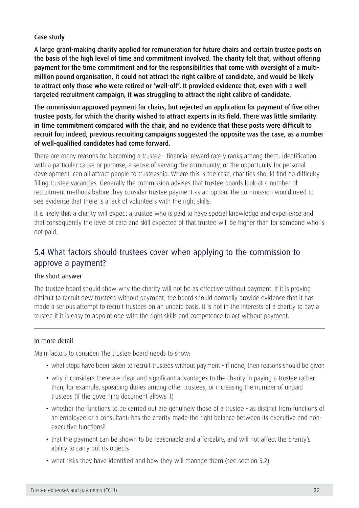#### Case study

A large grant-making charity applied for remuneration for future chairs and certain trustee posts on the basis of the high level of time and commitment involved. The charity felt that, without offering payment for the time commitment and for the responsibilities that come with oversight of a multimillion pound organisation, it could not attract the right calibre of candidate, and would be likely to attract only those who were retired or 'well-off'. It provided evidence that, even with a well targeted recruitment campaign, it was struggling to attract the right calibre of candidate.

The commission approved payment for chairs, but rejected an application for payment of five other trustee posts, for which the charity wished to attract experts in its field. There was little similarity in time commitment compared with the chair, and no evidence that these posts were difficult to recruit for; indeed, previous recruiting campaigns suggested the opposite was the case, as a number of well-qualified candidates had come forward.

There are many reasons for becoming a trustee - financial reward rarely ranks among them. Identification with a particular cause or purpose, a sense of serving the community, or the opportunity for personal development, can all attract people to trusteeship. Where this is the case, charities should find no difficulty filling trustee vacancies. Generally the commission advises that trustee boards look at a number of recruitment methods before they consider trustee payment as an option: the commission would need to see evidence that there is a lack of volunteers with the right skills.

It is likely that a charity will expect a trustee who is paid to have special knowledge and experience and that consequently the level of care and skill expected of that trustee will be higher than for someone who is not paid.

### 5.4 What factors should trustees cover when applying to the commission to approve a payment?

#### The short answer

The trustee board should show why the charity will not be as effective without payment. If it is proving difficult to recruit new trustees without payment, the board should normally provide evidence that it has made a serious attempt to recruit trustees on an unpaid basis. It is not in the interests of a charity to pay a trustee if it is easy to appoint one with the right skills and competence to act without payment.

#### In more detail

Main factors to consider: The trustee board needs to show:

- what steps have been taken to recruit trustees without payment if none, then reasons should be given
- why it considers there are clear and significant advantages to the charity in paying a trustee rather than, for example, spreading duties among other trustees, or increasing the number of unpaid trustees (if the governing document allows it)
- whether the functions to be carried out are genuinely those of a trustee as distinct from functions of an employee or a consultant; has the charity made the right balance between its executive and nonexecutive functions?
- that the payment can be shown to be reasonable and affordable, and will not affect the charity's ability to carry out its objects
- what risks they have identified and how they will manage them (see section 5.2)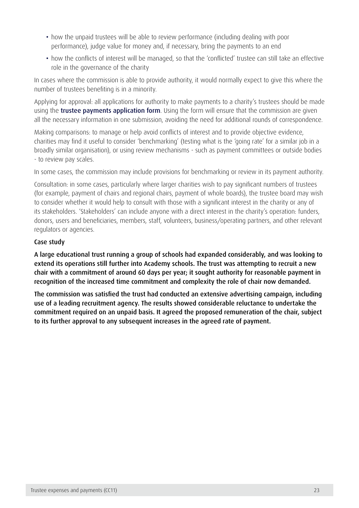- how the unpaid trustees will be able to review performance (including dealing with poor performance), judge value for money and, if necessary, bring the payments to an end
- how the conflicts of interest will be managed, so that the 'conflicted' trustee can still take an effective role in the governance of the charity

In cases where the commission is able to provide authority, it would normally expect to give this where the number of trustees benefiting is in a minority.

Applying for approval: all applications for authority to make payments to a charity's trustees should be made using the **[trustee payments application form](https://www.gov.uk/payments-to-charity-trustees-what-the-rules-are)**. Using the form will ensure that the commission are given all the necessary information in one submission, avoiding the need for additional rounds of correspondence.

Making comparisons: to manage or help avoid conflicts of interest and to provide objective evidence, charities may find it useful to consider 'benchmarking' (testing what is the 'going rate' for a similar job in a broadly similar organisation), or using review mechanisms - such as payment committees or outside bodies - to review pay scales.

In some cases, the commission may include provisions for benchmarking or review in its payment authority.

Consultation: in some cases, particularly where larger charities wish to pay significant numbers of trustees (for example, payment of chairs and regional chairs, payment of whole boards), the trustee board may wish to consider whether it would help to consult with those with a significant interest in the charity or any of its stakeholders. 'Stakeholders' can include anyone with a direct interest in the charity's operation: funders, donors, users and beneficiaries, members, staff, volunteers, business/operating partners, and other relevant regulators or agencies.

#### Case study

A large educational trust running a group of schools had expanded considerably, and was looking to extend its operations still further into Academy schools. The trust was attempting to recruit a new chair with a commitment of around 60 days per year; it sought authority for reasonable payment in recognition of the increased time commitment and complexity the role of chair now demanded.

The commission was satisfied the trust had conducted an extensive advertising campaign, including use of a leading recruitment agency. The results showed considerable reluctance to undertake the commitment required on an unpaid basis. It agreed the proposed remuneration of the chair, subject to its further approval to any subsequent increases in the agreed rate of payment.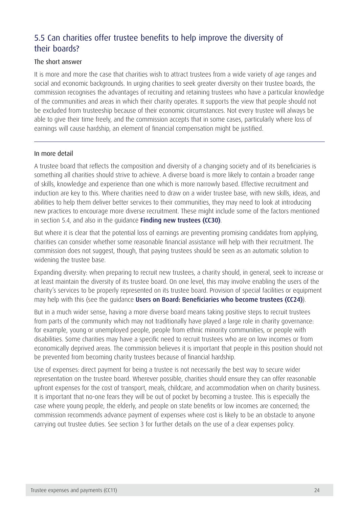# 5.5 Can charities offer trustee benefits to help improve the diversity of their boards?

#### The short answer

It is more and more the case that charities wish to attract trustees from a wide variety of age ranges and social and economic backgrounds. In urging charities to seek greater diversity on their trustee boards, the commission recognises the advantages of recruiting and retaining trustees who have a particular knowledge of the communities and areas in which their charity operates. It supports the view that people should not be excluded from trusteeship because of their economic circumstances. Not every trustee will always be able to give their time freely, and the commission accepts that in some cases, particularly where loss of earnings will cause hardship, an element of financial compensation might be justified.

#### In more detail

A trustee board that reflects the composition and diversity of a changing society and of its beneficiaries is something all charities should strive to achieve. A diverse board is more likely to contain a broader range of skills, knowledge and experience than one which is more narrowly based. Effective recruitment and induction are key to this. Where charities need to draw on a wider trustee base, with new skills, ideas, and abilities to help them deliver better services to their communities, they may need to look at introducing new practices to encourage more diverse recruitment. These might include some of the factors mentioned in section 5.4, and also in the guidance [Finding new trustees \(CC30\)](https://www.gov.uk/government/publications/finding-new-trustees-cc30).

But where it is clear that the potential loss of earnings are preventing promising candidates from applying, charities can consider whether some reasonable financial assistance will help with their recruitment. The commission does not suggest, though, that paying trustees should be seen as an automatic solution to widening the trustee base.

Expanding diversity: when preparing to recruit new trustees, a charity should, in general, seek to increase or at least maintain the diversity of its trustee board. On one level, this may involve enabling the users of the charity's services to be properly represented on its trustee board. Provision of special facilities or equipment may help with this (see the quidance [Users on Board: Beneficiaries who become trustees \(CC24\)](http://www.charitycommission.gov.uk/detailed-guidance/trustees-staff-and-volunteers/users-on-board-beneficiaries-who-become-trustees-cc24/)).

But in a much wider sense, having a more diverse board means taking positive steps to recruit trustees from parts of the community which may not traditionally have played a large role in charity governance: for example, young or unemployed people, people from ethnic minority communities, or people with disabilities. Some charities may have a specific need to recruit trustees who are on low incomes or from economically deprived areas. The commission believes it is important that people in this position should not be prevented from becoming charity trustees because of financial hardship.

Use of expenses: direct payment for being a trustee is not necessarily the best way to secure wider representation on the trustee board. Wherever possible, charities should ensure they can offer reasonable upfront expenses for the cost of transport, meals, childcare, and accommodation when on charity business. It is important that no-one fears they will be out of pocket by becoming a trustee. This is especially the case where young people, the elderly, and people on state benefits or low incomes are concerned; the commission recommends advance payment of expenses where cost is likely to be an obstacle to anyone carrying out trustee duties. See section 3 for further details on the use of a clear expenses policy.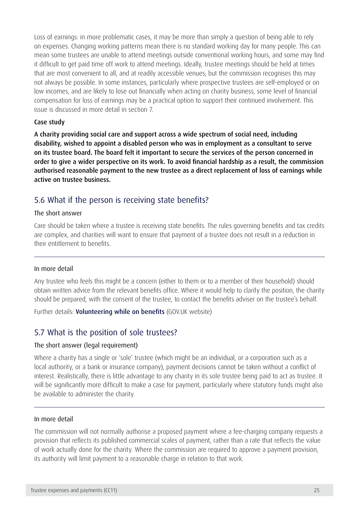Loss of earnings: in more problematic cases, it may be more than simply a question of being able to rely on expenses. Changing working patterns mean there is no standard working day for many people. This can mean some trustees are unable to attend meetings outside conventional working hours, and some may find it difficult to get paid time off work to attend meetings. Ideally, trustee meetings should be held at times that are most convenient to all, and at readily accessible venues; but the commission recognises this may not always be possible. In some instances, particularly where prospective trustees are self-employed or on low incomes, and are likely to lose out financially when acting on charity business, some level of financial compensation for loss of earnings may be a practical option to support their continued involvement. This issue is discussed in more detail in section 7.

#### Case study

A charity providing social care and support across a wide spectrum of social need, including disability, wished to appoint a disabled person who was in employment as a consultant to serve on its trustee board. The board felt it important to secure the services of the person concerned in order to give a wider perspective on its work. To avoid financial hardship as a result, the commission authorised reasonable payment to the new trustee as a direct replacement of loss of earnings while active on trustee business.

### 5.6 What if the person is receiving state benefits?

#### The short answer

Care should be taken where a trustee is receiving state benefits. The rules governing benefits and tax credits are complex, and charities will want to ensure that payment of a trustee does not result in a reduction in their entitlement to benefits.

#### In more detail

Any trustee who feels this might be a concern (either to them or to a member of their household) should obtain written advice from the relevant benefits office. Where it would help to clarify the position, the charity should be prepared, with the consent of the trustee, to contact the benefits adviser on the trustee's behalf.

Further details: **Volunteering while on benefits** (GOV.UK website)

### 5.7 What is the position of sole trustees?

#### The short answer (legal requirement)

Where a charity has a single or 'sole' trustee (which might be an individual, or a corporation such as a local authority, or a bank or insurance company), payment decisions cannot be taken without a conflict of interest. Realistically, there is little advantage to any charity in its sole trustee being paid to act as trustee. It will be significantly more difficult to make a case for payment, particularly where statutory funds might also be available to administer the charity.

#### In more detail

The commission will not normally authorise a proposed payment where a fee-charging company requests a provision that reflects its published commercial scales of payment, rather than a rate that reflects the value of work actually done for the charity. Where the commission are required to approve a payment provision, its authority will limit payment to a reasonable charge in relation to that work.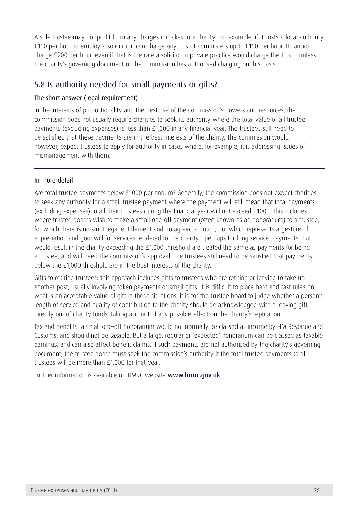<span id="page-26-0"></span>A sole trustee may not profit from any charges it makes to a charity. For example, if it costs a local authority £150 per hour to employ a solicitor, it can charge any trust it administers up to £150 per hour. It cannot charge £200 per hour, even if that is the rate a solicitor in private practice would charge the trust - unless the charity's governing document or the commission has authorised charging on this basis.

### 5.8 Is authority needed for small payments or gifts?

#### The short answer (legal requirement)

In the interests of proportionality and the best use of the commission's powers and resources, the commission does not usually require charities to seek its authority where the total value of all trustee payments (excluding expenses) is less than £1,000 in any financial year. The trustees still need to be satisfied that these payments are in the best interests of the charity. The commission would, however, expect trustees to apply for authority in cases where, for example, it is addressing issues of mismanagement with them.

#### In more detail

Are total trustee payments below £1000 per annum? Generally, the commission does not expect charities to seek any authority for a small trustee payment where the payment will still mean that total payments (excluding expenses) to all their trustees during the financial year will not exceed £1000. This includes where trustee boards wish to make a small one-off payment (often known as an honorarium) to a trustee, for which there is no strict legal entitlement and no agreed amount, but which represents a gesture of appreciation and goodwill for services rendered to the charity - perhaps for long service. Payments that would result in the charity exceeding the £1,000 threshold are treated the same as payments for being a trustee, and will need the commission's approval. The trustees still need to be satisfied that payments below the £1,000 threshold are in the best interests of the charity.

Gifts to retiring trustees: this approach includes gifts to trustees who are retiring or leaving to take up another post, usually involving token payments or small gifts. It is difficult to place hard and fast rules on what is an acceptable value of gift in these situations; it is for the trustee board to judge whether a person's length of service and quality of contribution to the charity should be acknowledged with a leaving gift directly out of charity funds, taking account of any possible effect on the charity's reputation.

Tax and benefits: a small one-off honorarium would not normally be classed as income by HM Revenue and Customs, and should not be taxable. But a large, regular or 'expected' honorarium can be classed as taxable earnings, and can also affect benefit claims. If such payments are not authorised by the charity's governing document, the trustee board must seek the commission's authority if the total trustee payments to all trustees will be more than £1,000 for that year.

Further information is available on HMRC website [www.hmrc.gov.uk](http://www.hmrc.gov.uk/)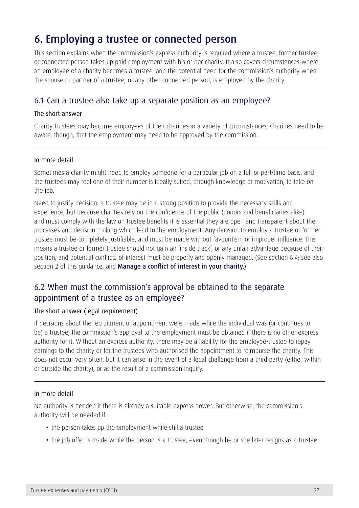# 6. Employing a trustee or connected person

This section explains when the commission's express authority is required where a trustee, former trustee, or connected person takes up paid employment with his or her charity. It also covers circumstances where an employee of a charity becomes a trustee, and the potential need for the commission's authority when the spouse or partner of a trustee, or any other connected person, is employed by the charity.

### 6.1 Can a trustee also take up a separate position as an employee?

#### The short answer

Charity trustees may become employees of their charities in a variety of circumstances. Charities need to be aware, though, that the employment may need to be approved by the commission.

#### In more detail

Sometimes a charity might need to employ someone for a particular job on a full or part-time basis, and the trustees may feel one of their number is ideally suited, through knowledge or motivation, to take on the job.

Need to justify decision: a trustee may be in a strong position to provide the necessary skills and experience, but because charities rely on the confidence of the public (donors and beneficiaries alike) and must comply with the law on trustee benefits it is essential they are open and transparent about the processes and decision-making which lead to the employment. Any decision to employ a trustee or former trustee must be completely justifiable, and must be made without favouritism or improper influence. This means a trustee or former trustee should not gain an 'inside track', or any unfair advantage because of their position, and potential conflicts of interest must be properly and openly managed. (See section 6.4; see also section 2 of this quidance, and [Manage a conflict of interest in your charity](https://www.gov.uk/manage-a-conflict-of-interest-in-your-charity).)

### 6.2 When must the commission's approval be obtained to the separate appointment of a trustee as an employee?

#### The short answer (legal requirement)

If decisions about the recruitment or appointment were made while the individual was (or continues to be) a trustee, the commission's approval to the employment must be obtained if there is no other express authority for it. Without an express authority, there may be a liability for the employee-trustee to repay earnings to the charity or for the trustees who authorised the appointment to reimburse the charity. This does not occur very often, but it can arise in the event of a legal challenge from a third party (either within or outside the charity), or as the result of a commission inquiry.

#### In more detail

No authority is needed if there is already a suitable express power. But otherwise, the commission's authority will be needed if:

- the person takes up the employment while still a trustee
- the job offer is made while the person is a trustee, even though he or she later resigns as a trustee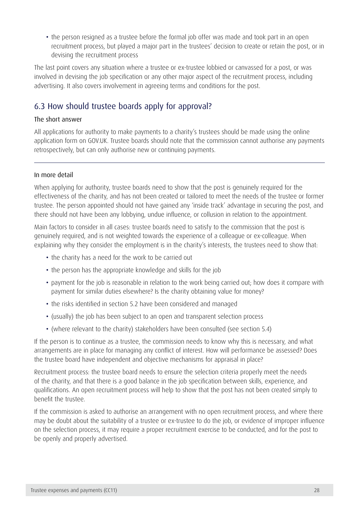• the person resigned as a trustee before the formal job offer was made and took part in an open recruitment process, but played a major part in the trustees' decision to create or retain the post, or in devising the recruitment process

The last point covers any situation where a trustee or ex-trustee lobbied or canvassed for a post, or was involved in devising the job specification or any other major aspect of the recruitment process, including advertising. It also covers involvement in agreeing terms and conditions for the post.

# 6.3 How should trustee boards apply for approval?

#### The short answer

All applications for authority to make payments to a charity's trustees should be made using the online application form on GOV.UK. Trustee boards should note that the commission cannot authorise any payments retrospectively, but can only authorise new or continuing payments.

#### In more detail

When applying for authority, trustee boards need to show that the post is genuinely required for the effectiveness of the charity, and has not been created or tailored to meet the needs of the trustee or former trustee. The person appointed should not have gained any 'inside track' advantage in securing the post, and there should not have been any lobbying, undue influence, or collusion in relation to the appointment.

Main factors to consider in all cases: trustee boards need to satisfy to the commission that the post is genuinely required, and is not weighted towards the experience of a colleague or ex-colleague. When explaining why they consider the employment is in the charity's interests, the trustees need to show that:

- the charity has a need for the work to be carried out
- the person has the appropriate knowledge and skills for the job
- payment for the job is reasonable in relation to the work being carried out; how does it compare with payment for similar duties elsewhere? Is the charity obtaining value for money?
- the risks identified in section 5.2 have been considered and managed
- (usually) the job has been subject to an open and transparent selection process
- (where relevant to the charity) stakeholders have been consulted (see section 5.4)

If the person is to continue as a trustee, the commission needs to know why this is necessary, and what arrangements are in place for managing any conflict of interest. How will performance be assessed? Does the trustee board have independent and objective mechanisms for appraisal in place?

Recruitment process: the trustee board needs to ensure the selection criteria properly meet the needs of the charity, and that there is a good balance in the job specification between skills, experience, and qualifications. An open recruitment process will help to show that the post has not been created simply to benefit the trustee.

If the commission is asked to authorise an arrangement with no open recruitment process, and where there may be doubt about the suitability of a trustee or ex-trustee to do the job, or evidence of improper influence on the selection process, it may require a proper recruitment exercise to be conducted, and for the post to be openly and properly advertised.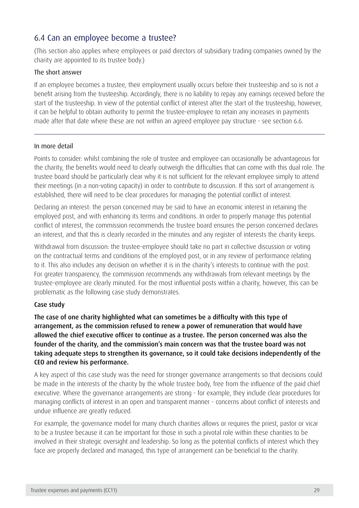### 6.4 Can an employee become a trustee?

(This section also applies where employees or paid directors of subsidiary trading companies owned by the charity are appointed to its trustee body.)

#### The short answer

If an employee becomes a trustee, their employment usually occurs before their trusteeship and so is not a benefit arising from the trusteeship. Accordingly, there is no liability to repay any earnings received before the start of the trusteeship. In view of the potential conflict of interest after the start of the trusteeship, however, it can be helpful to obtain authority to permit the trustee-employee to retain any increases in payments made after that date where these are not within an agreed employee pay structure - see section 6.6.

#### In more detail

Points to consider: whilst combining the role of trustee and employee can occasionally be advantageous for the charity, the benefits would need to clearly outweigh the difficulties that can come with this dual role. The trustee board should be particularly clear why it is not sufficient for the relevant employee simply to attend their meetings (in a non-voting capacity) in order to contribute to discussion. If this sort of arrangement is established, there will need to be clear procedures for managing the potential conflict of interest.

Declaring an interest: the person concerned may be said to have an economic interest in retaining the employed post, and with enhancing its terms and conditions. In order to properly manage this potential conflict of interest, the commission recommends the trustee board ensures the person concerned declares an interest, and that this is clearly recorded in the minutes and any register of interests the charity keeps.

Withdrawal from discussion: the trustee-employee should take no part in collective discussion or voting on the contractual terms and conditions of the employed post, or in any review of performance relating to it. This also includes any decision on whether it is in the charity's interests to continue with the post. For greater transparency, the commission recommends any withdrawals from relevant meetings by the trustee-employee are clearly minuted. For the most influential posts within a charity, however, this can be problematic as the following case study demonstrates.

#### Case study

The case of one charity highlighted what can sometimes be a difficulty with this type of arrangement, as the commission refused to renew a power of remuneration that would have allowed the chief executive officer to continue as a trustee. The person concerned was also the founder of the charity, and the commission's main concern was that the trustee board was not taking adequate steps to strengthen its governance, so it could take decisions independently of the CEO and review his performance.

A key aspect of this case study was the need for stronger governance arrangements so that decisions could be made in the interests of the charity by the whole trustee body, free from the influence of the paid chief executive. Where the governance arrangements are strong - for example, they include clear procedures for managing conflicts of interest in an open and transparent manner - concerns about conflict of interests and undue influence are greatly reduced.

For example, the governance model for many church charities allows or requires the priest, pastor or vicar to be a trustee because it can be important for those in such a pivotal role within these charities to be involved in their strategic oversight and leadership. So long as the potential conflicts of interest which they face are properly declared and managed, this type of arrangement can be beneficial to the charity.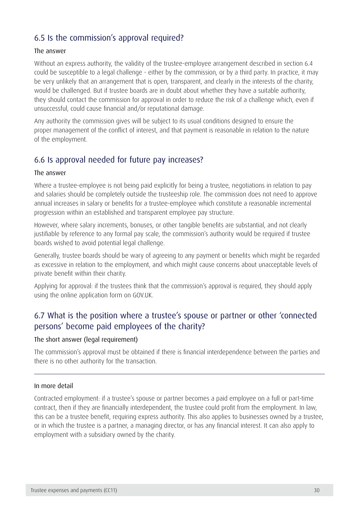## 6.5 Is the commission's approval required?

#### The answer

Without an express authority, the validity of the trustee-employee arrangement described in section 6.4 could be susceptible to a legal challenge - either by the commission, or by a third party. In practice, it may be very unlikely that an arrangement that is open, transparent, and clearly in the interests of the charity, would be challenged. But if trustee boards are in doubt about whether they have a suitable authority, they should contact the commission for approval in order to reduce the risk of a challenge which, even if unsuccessful, could cause financial and/or reputational damage.

Any authority the commission gives will be subject to its usual conditions designed to ensure the proper management of the conflict of interest, and that payment is reasonable in relation to the nature of the employment.

### 6.6 Is approval needed for future pay increases?

#### The answer

Where a trustee-employee is not being paid explicitly for being a trustee, negotiations in relation to pay and salaries should be completely outside the trusteeship role. The commission does not need to approve annual increases in salary or benefits for a trustee-employee which constitute a reasonable incremental progression within an established and transparent employee pay structure.

However, where salary increments, bonuses, or other tangible benefits are substantial, and not clearly justifiable by reference to any formal pay scale, the commission's authority would be required if trustee boards wished to avoid potential legal challenge.

Generally, trustee boards should be wary of agreeing to any payment or benefits which might be regarded as excessive in relation to the employment, and which might cause concerns about unacceptable levels of private benefit within their charity.

Applying for approval: if the trustees think that the commission's approval is required, they should apply using the online application form on GOV.UK.

### 6.7 What is the position where a trustee's spouse or partner or other 'connected persons' become paid employees of the charity?

#### The short answer (legal requirement)

The commission's approval must be obtained if there is financial interdependence between the parties and there is no other authority for the transaction.

#### In more detail

Contracted employment: if a trustee's spouse or partner becomes a paid employee on a full or part-time contract, then if they are financially interdependent, the trustee could profit from the employment. In law, this can be a trustee benefit, requiring express authority. This also applies to businesses owned by a trustee, or in which the trustee is a partner, a managing director, or has any financial interest. It can also apply to employment with a subsidiary owned by the charity.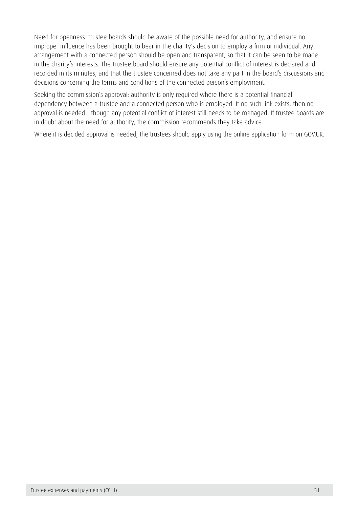<span id="page-31-0"></span>Need for openness: trustee boards should be aware of the possible need for authority, and ensure no improper influence has been brought to bear in the charity's decision to employ a firm or individual. Any arrangement with a connected person should be open and transparent, so that it can be seen to be made in the charity's interests. The trustee board should ensure any potential conflict of interest is declared and recorded in its minutes, and that the trustee concerned does not take any part in the board's discussions and decisions concerning the terms and conditions of the connected person's employment.

Seeking the commission's approval: authority is only required where there is a potential financial dependency between a trustee and a connected person who is employed. If no such link exists, then no approval is needed - though any potential conflict of interest still needs to be managed. If trustee boards are in doubt about the need for authority, the commission recommends they take advice.

Where it is decided approval is needed, the trustees should apply using the online application form on GOV.UK.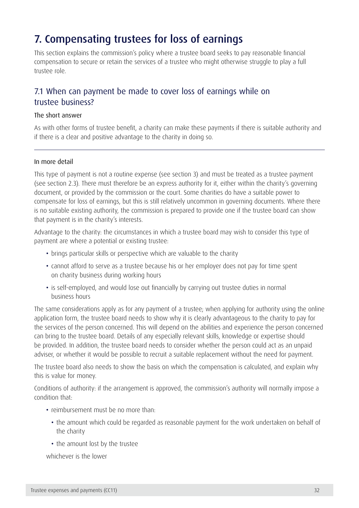# 7. Compensating trustees for loss of earnings

This section explains the commission's policy where a trustee board seeks to pay reasonable financial compensation to secure or retain the services of a trustee who might otherwise struggle to play a full trustee role.

### 7.1 When can payment be made to cover loss of earnings while on trustee business?

#### The short answer

As with other forms of trustee benefit, a charity can make these payments if there is suitable authority and if there is a clear and positive advantage to the charity in doing so.

#### In more detail

This type of payment is not a routine expense (see section 3) and must be treated as a trustee payment (see section 2.3). There must therefore be an express authority for it, either within the charity's governing document, or provided by the commission or the court. Some charities do have a suitable power to compensate for loss of earnings, but this is still relatively uncommon in governing documents. Where there is no suitable existing authority, the commission is prepared to provide one if the trustee board can show that payment is in the charity's interests.

Advantage to the charity: the circumstances in which a trustee board may wish to consider this type of payment are where a potential or existing trustee:

- brings particular skills or perspective which are valuable to the charity
- cannot afford to serve as a trustee because his or her employer does not pay for time spent on charity business during working hours
- is self-employed, and would lose out financially by carrying out trustee duties in normal business hours

The same considerations apply as for any payment of a trustee; when applying for authority using the online application form, the trustee board needs to show why it is clearly advantageous to the charity to pay for the services of the person concerned. This will depend on the abilities and experience the person concerned can bring to the trustee board. Details of any especially relevant skills, knowledge or expertise should be provided. In addition, the trustee board needs to consider whether the person could act as an unpaid adviser, or whether it would be possible to recruit a suitable replacement without the need for payment.

The trustee board also needs to show the basis on which the compensation is calculated, and explain why this is value for money.

Conditions of authority: if the arrangement is approved, the commission's authority will normally impose a condition that:

- reimbursement must be no more than:
	- the amount which could be regarded as reasonable payment for the work undertaken on behalf of the charity
	- the amount lost by the trustee

whichever is the lower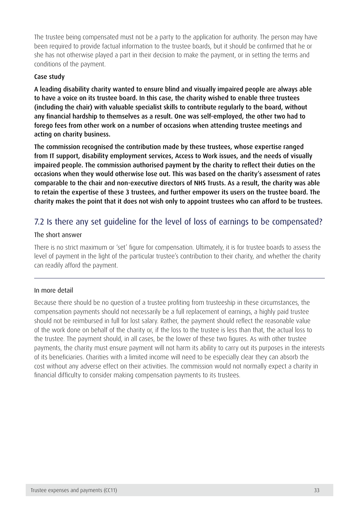The trustee being compensated must not be a party to the application for authority. The person may have been required to provide factual information to the trustee boards, but it should be confirmed that he or she has not otherwise played a part in their decision to make the payment, or in setting the terms and conditions of the payment.

#### Case study

A leading disability charity wanted to ensure blind and visually impaired people are always able to have a voice on its trustee board. In this case, the charity wished to enable three trustees (including the chair) with valuable specialist skills to contribute regularly to the board, without any financial hardship to themselves as a result. One was self-employed, the other two had to forego fees from other work on a number of occasions when attending trustee meetings and acting on charity business.

The commission recognised the contribution made by these trustees, whose expertise ranged from IT support, disability employment services, Access to Work issues, and the needs of visually impaired people. The commission authorised payment by the charity to reflect their duties on the occasions when they would otherwise lose out. This was based on the charity's assessment of rates comparable to the chair and non-executive directors of NHS Trusts. As a result, the charity was able to retain the expertise of these 3 trustees, and further empower its users on the trustee board. The charity makes the point that it does not wish only to appoint trustees who can afford to be trustees.

### 7.2 Is there any set guideline for the level of loss of earnings to be compensated?

#### The short answer

There is no strict maximum or 'set' figure for compensation. Ultimately, it is for trustee boards to assess the level of payment in the light of the particular trustee's contribution to their charity, and whether the charity can readily afford the payment.

#### In more detail

Because there should be no question of a trustee profiting from trusteeship in these circumstances, the compensation payments should not necessarily be a full replacement of earnings, a highly paid trustee should not be reimbursed in full for lost salary. Rather, the payment should reflect the reasonable value of the work done on behalf of the charity or, if the loss to the trustee is less than that, the actual loss to the trustee. The payment should, in all cases, be the lower of these two figures. As with other trustee payments, the charity must ensure payment will not harm its ability to carry out its purposes in the interests of its beneficiaries. Charities with a limited income will need to be especially clear they can absorb the cost without any adverse effect on their activities. The commission would not normally expect a charity in financial difficulty to consider making compensation payments to its trustees.